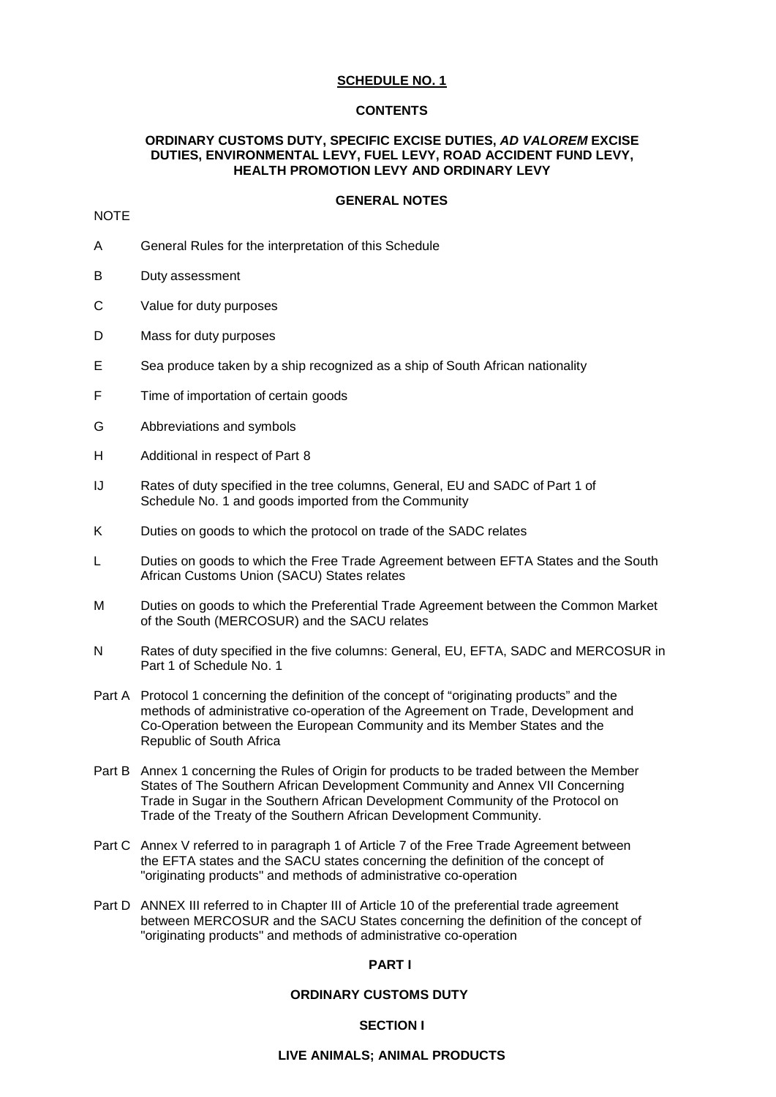## **SCHEDULE NO. 1**

### **CONTENTS**

### **ORDINARY CUSTOMS DUTY, SPECIFIC EXCISE DUTIES,** *AD VALOREM* **EXCISE DUTIES, ENVIRONMENTAL LEVY, FUEL LEVY, ROAD ACCIDENT FUND LEVY, HEALTH PROMOTION LEVY AND ORDINARY LEVY**

#### **GENERAL NOTES**

## **NOTE**

- A General Rules for the interpretation of this Schedule
- B Duty assessment
- C Value for duty purposes
- D Mass for duty purposes
- E Sea produce taken by a ship recognized as a ship of South African nationality
- F Time of importation of certain goods
- G Abbreviations and symbols
- H Additional in respect of Part 8
- IJ Rates of duty specified in the tree columns, General, EU and SADC of Part 1 of Schedule No. 1 and goods imported from the Community
- K Duties on goods to which the protocol on trade of the SADC relates
- L Duties on goods to which the Free Trade Agreement between EFTA States and the South African Customs Union (SACU) States relates
- M Duties on goods to which the Preferential Trade Agreement between the Common Market of the South (MERCOSUR) and the SACU relates
- N Rates of duty specified in the five columns: General, EU, EFTA, SADC and MERCOSUR in Part 1 of Schedule No. 1
- Part A Protocol 1 concerning the definition of the concept of "originating products" and the methods of administrative co-operation of the Agreement on Trade, Development and Co-Operation between the European Community and its Member States and the Republic of South Africa
- Part B Annex 1 concerning the Rules of Origin for products to be traded between the Member States of The Southern African Development Community and Annex VII Concerning Trade in Sugar in the Southern African Development Community of the Protocol on Trade of the Treaty of the Southern African Development Community.
- Part C Annex V referred to in paragraph 1 of Article 7 of the Free Trade Agreement between the EFTA states and the SACU states concerning the definition of the concept of "originating products" and methods of administrative co-operation
- Part D ANNEX III referred to in Chapter III of Article 10 of the preferential trade agreement between MERCOSUR and the SACU States concerning the definition of the concept of "originating products" and methods of administrative co-operation

### **PART I**

### **ORDINARY CUSTOMS DUTY**

#### **SECTION I**

#### **LIVE ANIMALS; ANIMAL PRODUCTS**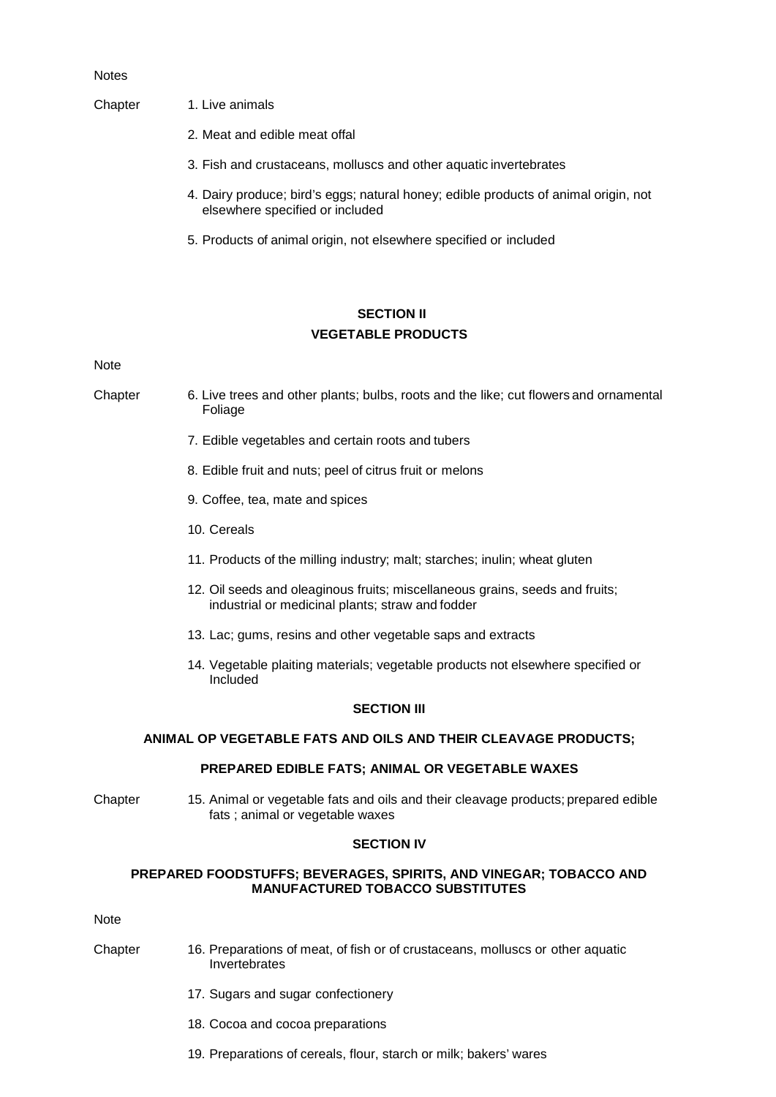#### Notes

### Chapter 1. Live animals

- 2. Meat and edible meat offal
- 3. Fish and crustaceans, molluscs and other aquatic invertebrates
- 4. Dairy produce; bird's eggs; natural honey; edible products of animal origin, not elsewhere specified or included
- 5. Products of animal origin, not elsewhere specified or included

## **SECTION II VEGETABLE PRODUCTS**

Note

Chapter 6. Live trees and other plants; bulbs, roots and the like; cut flowers and ornamental Foliage

- 7. Edible vegetables and certain roots and tubers
- 8. Edible fruit and nuts; peel of citrus fruit or melons
- 9. Coffee, tea, mate and spices
- 10. Cereals
- 11. Products of the milling industry; malt; starches; inulin; wheat gluten
- 12. Oil seeds and oleaginous fruits; miscellaneous grains, seeds and fruits; industrial or medicinal plants; straw and fodder
- 13. Lac; gums, resins and other vegetable saps and extracts
- 14. Vegetable plaiting materials; vegetable products not elsewhere specified or Included

### **SECTION III**

### **ANIMAL OP VEGETABLE FATS AND OILS AND THEIR CLEAVAGE PRODUCTS;**

## **PREPARED EDIBLE FATS; ANIMAL OR VEGETABLE WAXES**

Chapter 15. Animal or vegetable fats and oils and their cleavage products; prepared edible fats ; animal or vegetable waxes

#### **SECTION IV**

### **PREPARED FOODSTUFFS; BEVERAGES, SPIRITS, AND VINEGAR; TOBACCO AND MANUFACTURED TOBACCO SUBSTITUTES**

Note

- Chapter 16. Preparations of meat, of fish or of crustaceans, molluscs or other aquatic Invertebrates
	- 17. Sugars and sugar confectionery
	- 18. Cocoa and cocoa preparations
	- 19. Preparations of cereals, flour, starch or milk; bakers' wares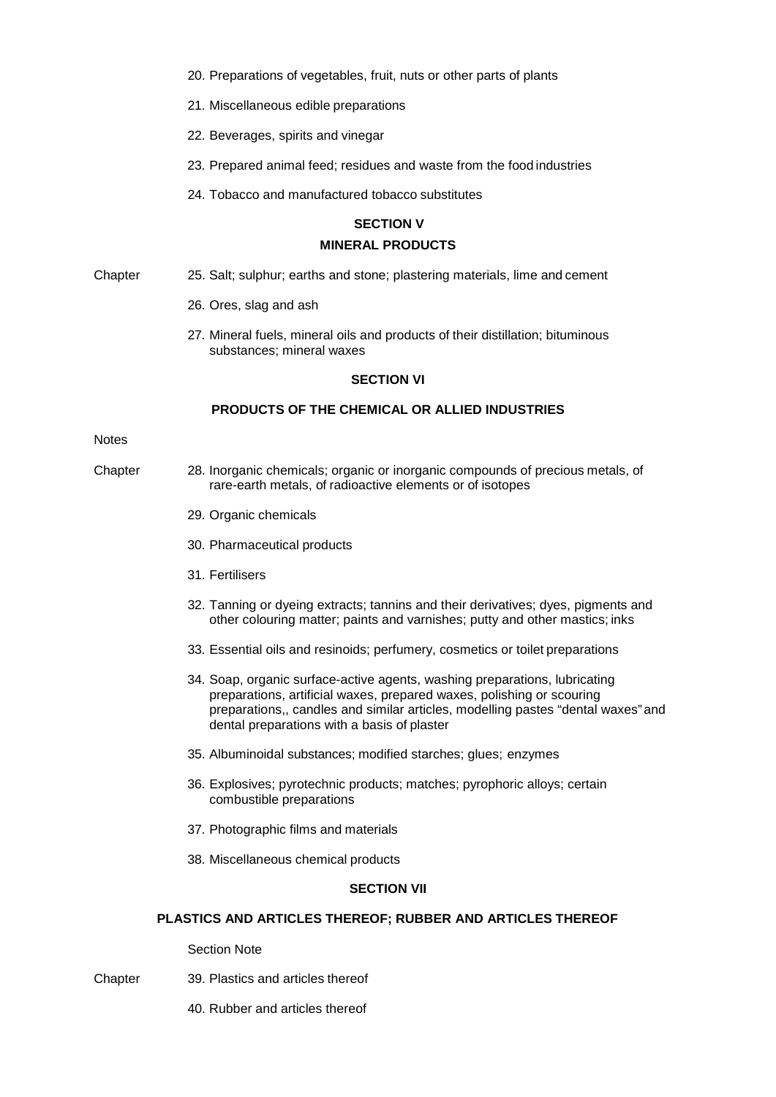- 20. Preparations of vegetables, fruit, nuts or other parts of plants
- 21. Miscellaneous edible preparations
- 22. Beverages, spirits and vinegar
- 23. Prepared animal feed; residues and waste from the food industries
- 24. Tobacco and manufactured tobacco substitutes

# **SECTION V MINERAL PRODUCTS**

- Chapter 25. Salt; sulphur; earths and stone; plastering materials, lime and cement
	- 26. Ores, slag and ash
	- 27. Mineral fuels, mineral oils and products of their distillation; bituminous substances; mineral waxes

### **SECTION VI**

## **PRODUCTS OF THE CHEMICAL OR ALLIED INDUSTRIES**

#### **Notes**

- Chapter 28. Inorganic chemicals; organic or inorganic compounds of precious metals, of rare-earth metals, of radioactive elements or of isotopes
	- 29. Organic chemicals
	- 30. Pharmaceutical products
	- 31. Fertilisers
	- 32. Tanning or dyeing extracts; tannins and their derivatives; dyes, pigments and other colouring matter; paints and varnishes; putty and other mastics; inks
	- 33. Essential oils and resinoids; perfumery, cosmetics or toilet preparations
	- 34. Soap, organic surface-active agents, washing preparations, lubricating preparations, artificial waxes, prepared waxes, polishing or scouring preparations,, candles and similar articles, modelling pastes "dental waxes"and dental preparations with a basis of plaster
	- 35. Albuminoidal substances; modified starches; glues; enzymes
	- 36. Explosives; pyrotechnic products; matches; pyrophoric alloys; certain combustible preparations
	- 37. Photographic films and materials
	- 38. Miscellaneous chemical products

### **SECTION VII**

## **PLASTICS AND ARTICLES THEREOF; RUBBER AND ARTICLES THEREOF**

Section Note

- Chapter 39. Plastics and articles thereof
	- 40. Rubber and articles thereof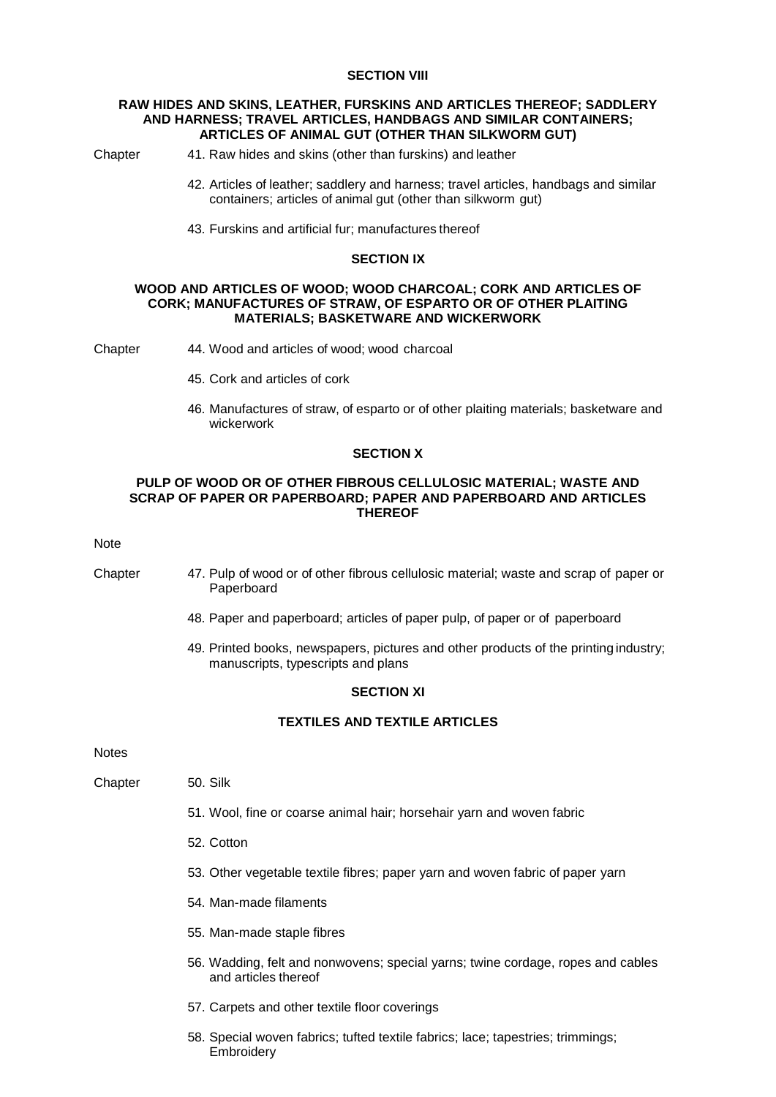### **SECTION VIII**

### **RAW HIDES AND SKINS, LEATHER, FURSKINS AND ARTICLES THEREOF; SADDLERY AND HARNESS; TRAVEL ARTICLES, HANDBAGS AND SIMILAR CONTAINERS; ARTICLES OF ANIMAL GUT (OTHER THAN SILKWORM GUT)**

Chapter 41. Raw hides and skins (other than furskins) and leather

- 42. Articles of leather; saddlery and harness; travel articles, handbags and similar containers; articles of animal gut (other than silkworm gut)
- 43. Furskins and artificial fur; manufactures thereof

### **SECTION IX**

### **WOOD AND ARTICLES OF WOOD; WOOD CHARCOAL; CORK AND ARTICLES OF CORK; MANUFACTURES OF STRAW, OF ESPARTO OR OF OTHER PLAITING MATERIALS; BASKETWARE AND WICKERWORK**

Chapter 44. Wood and articles of wood; wood charcoal

- 45. Cork and articles of cork
- 46. Manufactures of straw, of esparto or of other plaiting materials; basketware and wickerwork

### **SECTION X**

### **PULP OF WOOD OR OF OTHER FIBROUS CELLULOSIC MATERIAL; WASTE AND SCRAP OF PAPER OR PAPERBOARD; PAPER AND PAPERBOARD AND ARTICLES THEREOF**

#### Note

Chapter 47. Pulp of wood or of other fibrous cellulosic material; waste and scrap of paper or Paperboard

- 48. Paper and paperboard; articles of paper pulp, of paper or of paperboard
- 49. Printed books, newspapers, pictures and other products of the printing industry; manuscripts, typescripts and plans

## **SECTION XI**

### **TEXTILES AND TEXTILE ARTICLES**

**Notes** 

- Chapter 50. Silk
	- 51. Wool, fine or coarse animal hair; horsehair yarn and woven fabric
	- 52. Cotton
	- 53. Other vegetable textile fibres; paper yarn and woven fabric of paper yarn
	- 54. Man-made filaments
	- 55. Man-made staple fibres
	- 56. Wadding, felt and nonwovens; special yarns; twine cordage, ropes and cables and articles thereof
	- 57. Carpets and other textile floor coverings
	- 58. Special woven fabrics; tufted textile fabrics; lace; tapestries; trimmings; **Embroidery**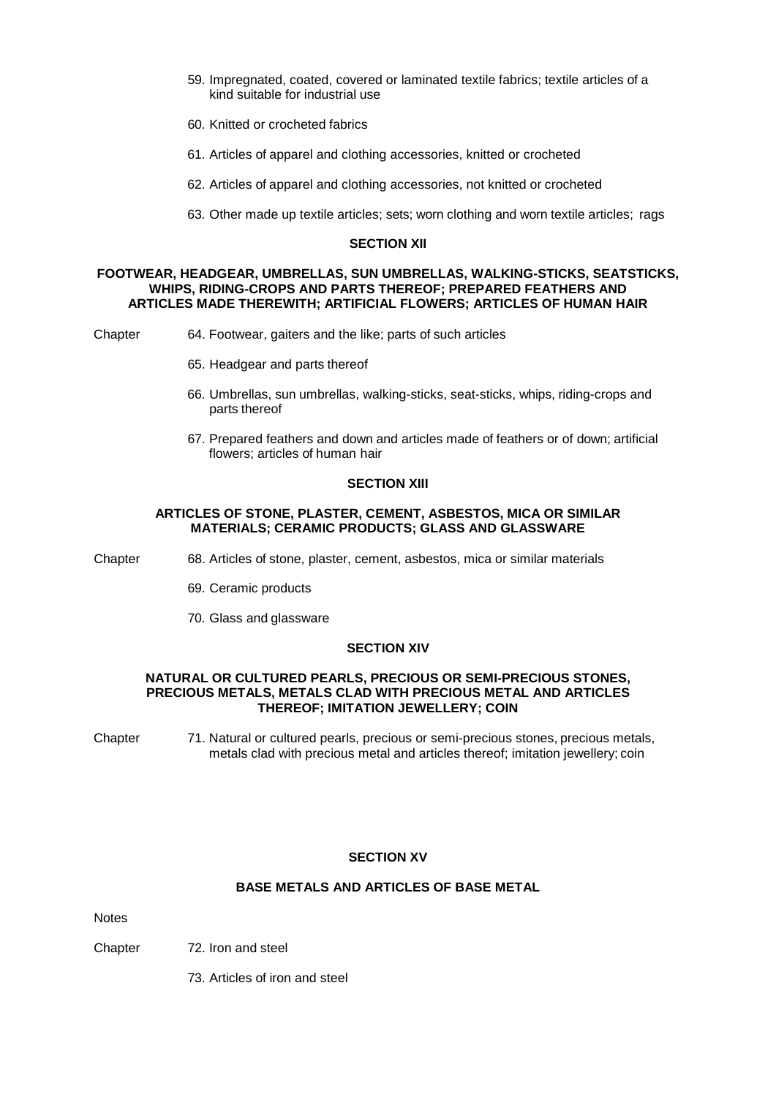- 59. Impregnated, coated, covered or laminated textile fabrics; textile articles of a kind suitable for industrial use
- 60. Knitted or crocheted fabrics
- 61. Articles of apparel and clothing accessories, knitted or crocheted
- 62. Articles of apparel and clothing accessories, not knitted or crocheted
- 63. Other made up textile articles; sets; worn clothing and worn textile articles; rags

#### **SECTION XII**

### **FOOTWEAR, HEADGEAR, UMBRELLAS, SUN UMBRELLAS, WALKING-STICKS, SEATSTICKS, WHIPS, RIDING-CROPS AND PARTS THEREOF; PREPARED FEATHERS AND ARTICLES MADE THEREWITH; ARTIFICIAL FLOWERS; ARTICLES OF HUMAN HAIR**

Chapter 64. Footwear, gaiters and the like; parts of such articles

- 65. Headgear and parts thereof
- 66. Umbrellas, sun umbrellas, walking-sticks, seat-sticks, whips, riding-crops and parts thereof
- 67. Prepared feathers and down and articles made of feathers or of down; artificial flowers; articles of human hair

#### **SECTION XIII**

#### **ARTICLES OF STONE, PLASTER, CEMENT, ASBESTOS, MICA OR SIMILAR MATERIALS; CERAMIC PRODUCTS; GLASS AND GLASSWARE**

Chapter 68. Articles of stone, plaster, cement, asbestos, mica or similar materials

- 69. Ceramic products
- 70. Glass and glassware

## **SECTION XIV**

### **NATURAL OR CULTURED PEARLS, PRECIOUS OR SEMI-PRECIOUS STONES, PRECIOUS METALS, METALS CLAD WITH PRECIOUS METAL AND ARTICLES THEREOF; IMITATION JEWELLERY; COIN**

Chapter 71. Natural or cultured pearls, precious or semi-precious stones, precious metals, metals clad with precious metal and articles thereof; imitation jewellery; coin

### **SECTION XV**

#### **BASE METALS AND ARTICLES OF BASE METAL**

Notes

Chapter 72. Iron and steel

73. Articles of iron and steel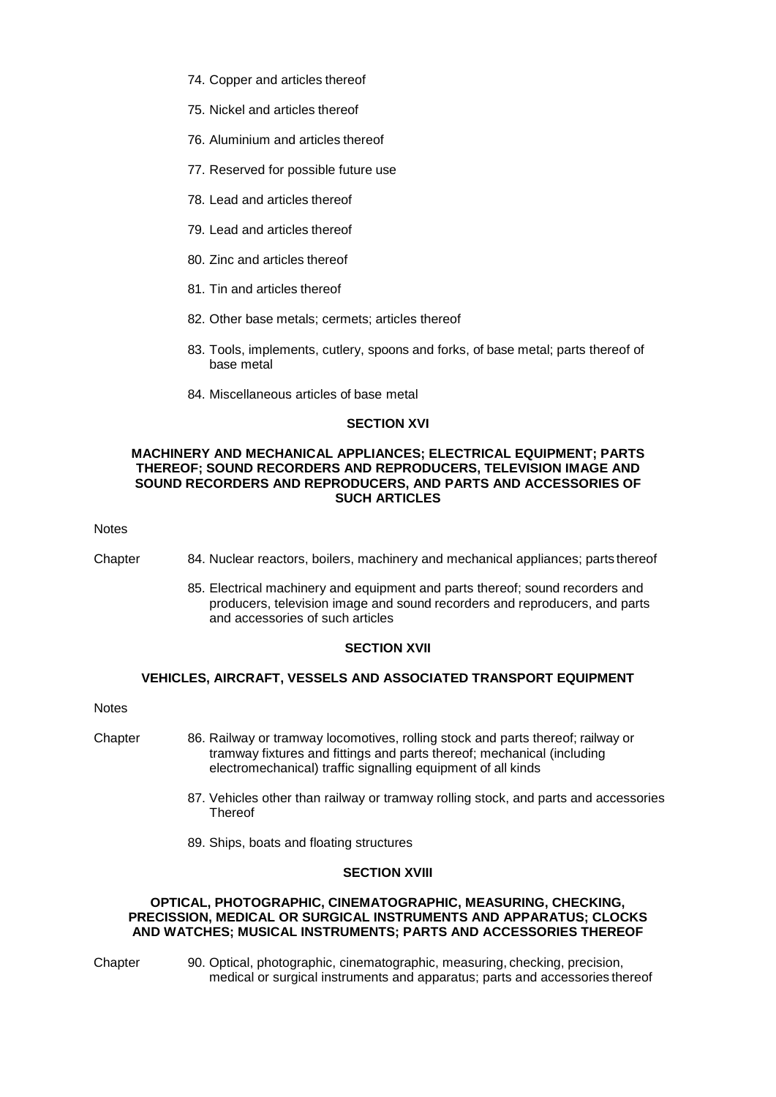- 74. Copper and articles thereof
- 75. Nickel and articles thereof
- 76. Aluminium and articles thereof
- 77. Reserved for possible future use
- 78. Lead and articles thereof
- 79. Lead and articles thereof
- 80. Zinc and articles thereof
- 81. Tin and articles thereof
- 82. Other base metals; cermets; articles thereof
- 83. Tools, implements, cutlery, spoons and forks, of base metal; parts thereof of base metal
- 84. Miscellaneous articles of base metal

## **SECTION XVI**

### **MACHINERY AND MECHANICAL APPLIANCES; ELECTRICAL EQUIPMENT; PARTS THEREOF; SOUND RECORDERS AND REPRODUCERS, TELEVISION IMAGE AND SOUND RECORDERS AND REPRODUCERS, AND PARTS AND ACCESSORIES OF SUCH ARTICLES**

Notes

- Chapter 84. Nuclear reactors, boilers, machinery and mechanical appliances; parts thereof
	- 85. Electrical machinery and equipment and parts thereof; sound recorders and producers, television image and sound recorders and reproducers, and parts and accessories of such articles

## **SECTION XVII**

## **VEHICLES, AIRCRAFT, VESSELS AND ASSOCIATED TRANSPORT EQUIPMENT**

**Notes** 

- Chapter 86. Railway or tramway locomotives, rolling stock and parts thereof; railway or tramway fixtures and fittings and parts thereof; mechanical (including electromechanical) traffic signalling equipment of all kinds
	- 87. Vehicles other than railway or tramway rolling stock, and parts and accessories **Thereof**
	- 89. Ships, boats and floating structures

## **SECTION XVIII**

### **OPTICAL, PHOTOGRAPHIC, CINEMATOGRAPHIC, MEASURING, CHECKING, PRECISSION, MEDICAL OR SURGICAL INSTRUMENTS AND APPARATUS; CLOCKS AND WATCHES; MUSICAL INSTRUMENTS; PARTS AND ACCESSORIES THEREOF**

- 
- Chapter 90. Optical, photographic, cinematographic, measuring, checking, precision, medical or surgical instruments and apparatus; parts and accessories thereof